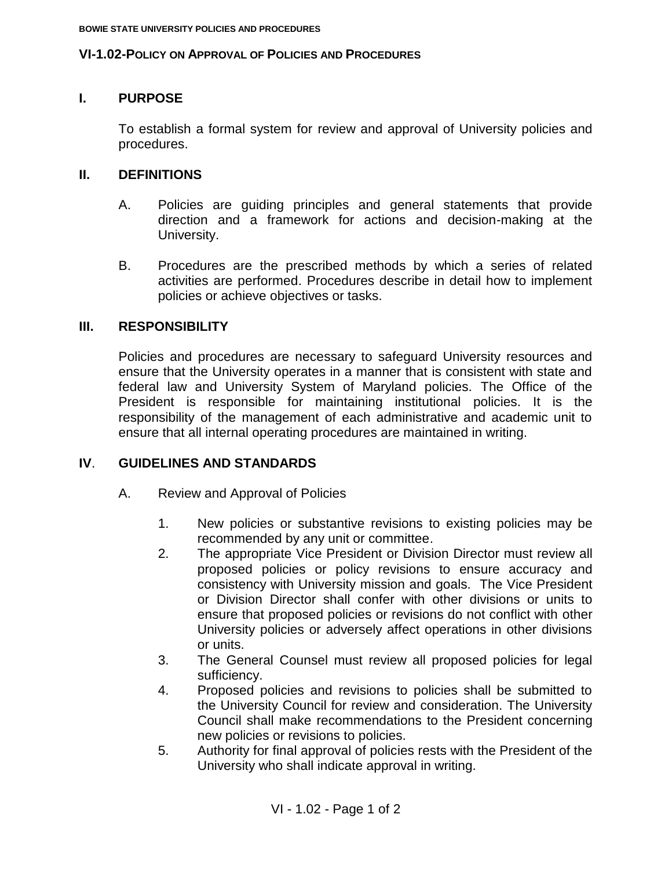# **VI-1.02-POLICY ON APPROVAL OF POLICIES AND PROCEDURES**

# **I. PURPOSE**

To establish a formal system for review and approval of University policies and procedures.

#### **II. DEFINITIONS**

- A. Policies are guiding principles and general statements that provide direction and a framework for actions and decision-making at the University.
- B. Procedures are the prescribed methods by which a series of related activities are performed. Procedures describe in detail how to implement policies or achieve objectives or tasks.

# **III. RESPONSIBILITY**

Policies and procedures are necessary to safeguard University resources and ensure that the University operates in a manner that is consistent with state and federal law and University System of Maryland policies. The Office of the President is responsible for maintaining institutional policies. It is the responsibility of the management of each administrative and academic unit to ensure that all internal operating procedures are maintained in writing.

# **IV**. **GUIDELINES AND STANDARDS**

- A. Review and Approval of Policies
	- 1. New policies or substantive revisions to existing policies may be recommended by any unit or committee.
	- 2. The appropriate Vice President or Division Director must review all proposed policies or policy revisions to ensure accuracy and consistency with University mission and goals. The Vice President or Division Director shall confer with other divisions or units to ensure that proposed policies or revisions do not conflict with other University policies or adversely affect operations in other divisions or units.
	- 3. The General Counsel must review all proposed policies for legal sufficiency.
	- 4. Proposed policies and revisions to policies shall be submitted to the University Council for review and consideration. The University Council shall make recommendations to the President concerning new policies or revisions to policies.
	- 5. Authority for final approval of policies rests with the President of the University who shall indicate approval in writing.